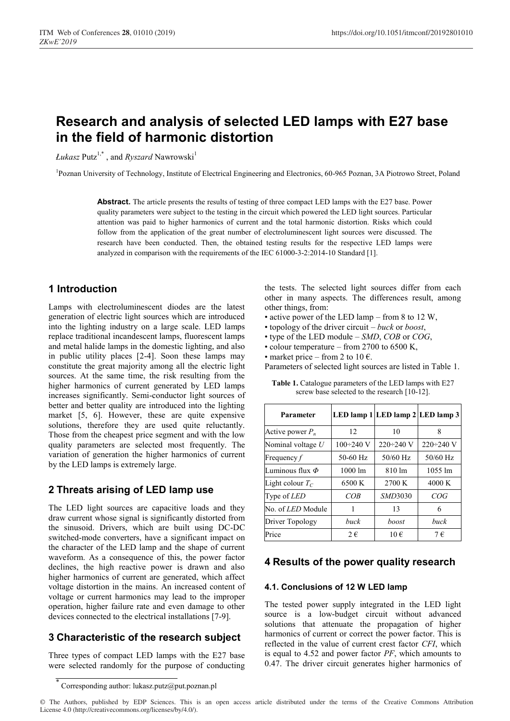# **Research and analysis of selected LED lamps with E27 base in the field of harmonic distortion**

*Łukasz* Putz<sup>1,\*</sup>, and *Ryszard* Nawrowski<sup>1</sup>

<sup>1</sup>Poznan University of Technology, Institute of Electrical Engineering and Electronics, 60-965 Poznan, 3A Piotrowo Street, Poland

**Abstract.** The article presents the results of testing of three compact LED lamps with the E27 base. Power quality parameters were subject to the testing in the circuit which powered the LED light sources. Particular attention was paid to higher harmonics of current and the total harmonic distortion. Risks which could follow from the application of the great number of electroluminescent light sources were discussed. The research have been conducted. Then, the obtained testing results for the respective LED lamps were analyzed in comparison with the requirements of the IEC 61000-3-2:2014-10 Standard [1].

# **1 Introduction**

Lamps with electroluminescent diodes are the latest generation of electric light sources which are introduced into the lighting industry on a large scale. LED lamps replace traditional incandescent lamps, fluorescent lamps and metal halide lamps in the domestic lighting, and also in public utility places [2-4]. Soon these lamps may constitute the great majority among all the electric light sources. At the same time, the risk resulting from the higher harmonics of current generated by LED lamps increases significantly. Semi-conductor light sources of better and better quality are introduced into the lighting market [5, 6]. However, these are quite expensive solutions, therefore they are used quite reluctantly. Those from the cheapest price segment and with the low quality parameters are selected most frequently. The variation of generation the higher harmonics of current by the LED lamps is extremely large.

# **2 Threats arising of LED lamp use**

The LED light sources are capacitive loads and they draw current whose signal is significantly distorted from the sinusoid. Drivers, which are built using DC-DC switched-mode converters, have a significant impact on the character of the LED lamp and the shape of current waveform. As a consequence of this, the power factor declines, the high reactive power is drawn and also higher harmonics of current are generated, which affect voltage distortion in the mains. An increased content of voltage or current harmonics may lead to the improper operation, higher failure rate and even damage to other devices connected to the electrical installations [7-9].

# **3 Characteristic of the research subject**

Three types of compact LED lamps with the E27 base were selected randomly for the purpose of conducting

the tests. The selected light sources differ from each other in many aspects. The differences result, among other things, from:

- active power of the LED lamp from 8 to 12 W,
- topology of the driver circuit *buck* or *boost*,
- type of the LED modułe *SMD*, *COB* or *COG*,
- colour temperature from 2700 to 6500 K,
- market price from 2 to 10  $\epsilon$ .

Parameters of selected light sources are listed in Table 1.

| Parameter                |                          | LED lamp 1 LED lamp 2 LED lamp 3 |                     |
|--------------------------|--------------------------|----------------------------------|---------------------|
| Active power $P_n$       | 12                       | 10                               | 8                   |
| Nominal voltage $U$      | $100 \div 240 \text{ V}$ | $220 \div 240$ V                 | $220 \div 240$ V    |
| Frequency $f$            | 50-60 Hz                 | $50/60$ Hz                       | 50/60 Hz            |
| Luminous flux $\Phi$     | $1000 \text{ lm}$        | 810 lm                           | $1055 \; \text{lm}$ |
| Light colour $T_C$       | 6500 K                   | 2700 K                           | 4000 K              |
| Type of <i>LED</i>       | COB                      | <i>SMD3030</i>                   | COG                 |
| No. of <i>LED</i> Module | 1                        | 13                               | 6                   |
| Driver Topology          | buck                     | boost                            | buck                |
| Price                    | $2 \in$                  | $10 \in$                         | $7 \in$             |

**Table 1.** Catalogue parameters of the LED lamps with E27 screw base selected to the research [10-12].

### **4 Results of the power quality research**

#### **4.1. Conclusions of 12 W LED lamp**

The tested power supply integrated in the LED light source is a low-budget circuit without advanced solutions that attenuate the propagation of higher harmonics of current or correct the power factor. This is reflected in the value of current crest factor *CFI*, which is equal to 4.52 and power factor *PF*, which amounts to 0.47. The driver circuit generates higher harmonics of

Corresponding author: lukasz.putz@put.poznan.pl

<sup>©</sup> The Authors, published by EDP Sciences. This is an open access article distributed under the terms of the Creative Commons Attribution License 4.0 (http://creativecommons.org/licenses/by/4.0/).